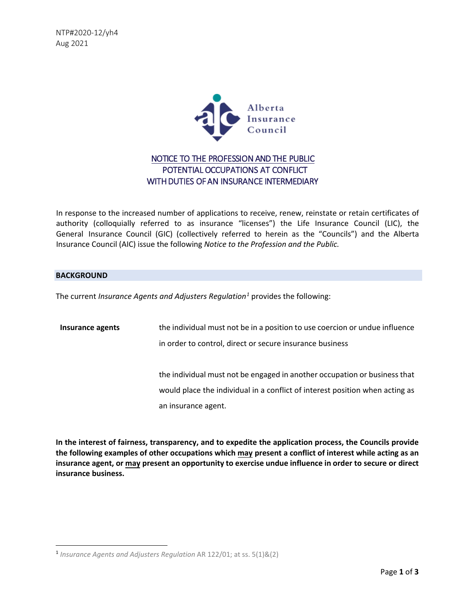NTP#2020-12/yh4 Aug 2021



## NOTICE TO THE PROFESSION AND THE PUBLIC POTENTIAL OCCUPATIONS AT CONFLICT WITH DUTIES OF AN INSURANCE INTERMEDIARY

In response to the increased number of applications to receive, renew, reinstate or retain certificates of authority (colloquially referred to as insurance "licenses") the Life Insurance Council (LIC), the General Insurance Council (GIC) (collectively referred to herein as the "Councils") and the Alberta Insurance Council (AIC) issue the following *Notice to the Profession and the Public.* 

## **BACKGROUND**

The current *Insurance Agents and Adjusters Regulation[1](#page-0-0)* provides the following:

| Insurance agents | the individual must not be in a position to use coercion or undue influence  |
|------------------|------------------------------------------------------------------------------|
|                  | in order to control, direct or secure insurance business                     |
|                  |                                                                              |
|                  | the individual must not be engaged in another occupation or business that    |
|                  | would place the individual in a conflict of interest position when acting as |
|                  | an insurance agent.                                                          |

**In the interest of fairness, transparency, and to expedite the application process, the Councils provide the following examples of other occupations which may present a conflict of interest while acting as an insurance agent, or may present an opportunity to exercise undue influence in order to secure or direct insurance business.** 

<span id="page-0-0"></span><sup>1</sup> *Insurance Agents and Adjusters Regulation* AR 122/01; at ss. 5(1)&(2)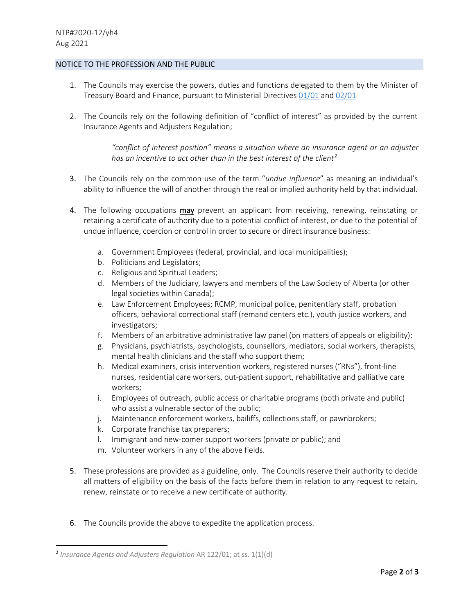## NOTICE TO THE PROFESSION AND THE PUBLIC

- 1. The Councils may exercise the powers, duties and functions delegated to them by the Minister of Treasury Board and Finance, pursuant to Ministerial Directives [01/01](https://open.alberta.ca/dataset/49aab72d-afa5-4a0c-b1c3-a70c43d529d9/resource/6ea2730f-eed0-4ce7-b2f3-483049030338/download/2001-0930-directive-01-2001-delegation-life-insurance-council.pdf) and [02/0](https://open.alberta.ca/dataset/6578c020-9068-40cd-b94f-fcca327bef0f/resource/637b359f-2ed2-4eed-9d22-d8f4bf62e39b/download/2001-0930-directive-02-2001-delegation-general-insurance-council.pdf)[1](https://open.alberta.ca/dataset/52c6ad0f-585c-483d-8748-08429b5b3508/resource/d0796571-91d4-48b5-a30b-c2f46900d867/download/2001-0930-directive-03-2001-delegation-insurance-adjusters-council.pdf)
- 2. The Councils rely on the following definition of "conflict of interest" as provided by the current Insurance Agents and Adjusters Regulation;

*"conflict of interest position" means a situation where an insurance agent or an adjuster has an incentive to act other than in the best interest of the client[2](#page-1-0)*

- 3. The Councils rely on the common use of the term "*undue influence*" as meaning an individual's ability to influence the will of another through the real or implied authority held by that individual.
- 4. The following occupations may prevent an applicant from receiving, renewing, reinstating or retaining a certificate of authority due to a potential conflict of interest, or due to the potential of undue influence, coercion or control in order to secure or direct insurance business:
	- a. Government Employees (federal, provincial, and local municipalities);
	- b. Politicians and Legislators;
	- c. Religious and Spiritual Leaders;
	- d. Members of the Judiciary, lawyers and members of the Law Society of Alberta (or other legal societies within Canada);
	- e. Law Enforcement Employees; RCMP, municipal police, penitentiary staff, probation officers, behavioral correctional staff (remand centers etc.), youth justice workers, and investigators;
	- f. Members of an arbitrative administrative law panel (on matters of appeals or eligibility);
	- g. Physicians, psychiatrists, psychologists, counsellors, mediators, social workers, therapists, mental health clinicians and the staff who support them;
	- h. Medical examiners, crisis intervention workers, registered nurses ("RNs"), front-line nurses, residential care workers, out-patient support, rehabilitative and palliative care workers;
	- i. Employees of outreach, public access or charitable programs (both private and public) who assist a vulnerable sector of the public;
	- j. Maintenance enforcement workers, bailiffs, collections staff, or pawnbrokers;
	- k. Corporate franchise tax preparers;
	- l. Immigrant and new-comer support workers (private or public); and
	- m. Volunteer workers in any of the above fields.
- 5. These professions are provided as a guideline, only. The Councils reserve their authority to decide all matters of eligibility on the basis of the facts before them in relation to any request to retain, renew, reinstate or to receive a new certificate of authority.
- 6. The Councils provide the above to expedite the application process.

<span id="page-1-0"></span><sup>2</sup> *Insurance Agents and Adjusters Regulation* AR 122/01; at ss. 1(1)(d)